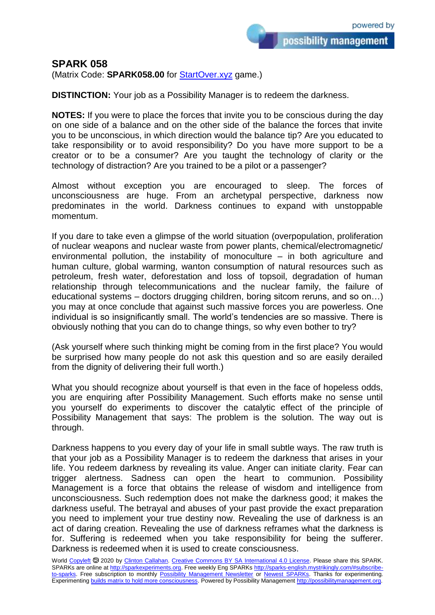possibility management

## **SPARK 058**

(Matrix Code: **SPARK058.00** for **StartOver.xyz** game.)

**DISTINCTION:** Your job as a Possibility Manager is to redeem the darkness.

**NOTES:** If you were to place the forces that invite you to be conscious during the day on one side of a balance and on the other side of the balance the forces that invite you to be unconscious, in which direction would the balance tip? Are you educated to take responsibility or to avoid responsibility? Do you have more support to be a creator or to be a consumer? Are you taught the technology of clarity or the technology of distraction? Are you trained to be a pilot or a passenger?

Almost without exception you are encouraged to sleep. The forces of unconsciousness are huge. From an archetypal perspective, darkness now predominates in the world. Darkness continues to expand with unstoppable momentum.

If you dare to take even a glimpse of the world situation (overpopulation, proliferation of nuclear weapons and nuclear waste from power plants, chemical/electromagnetic/ environmental pollution, the instability of monoculture  $-$  in both agriculture and human culture, global warming, wanton consumption of natural resources such as petroleum, fresh water, deforestation and loss of topsoil, degradation of human relationship through telecommunications and the nuclear family, the failure of educational systems – doctors drugging children, boring sitcom reruns, and so on…) you may at once conclude that against such massive forces you are powerless. One individual is so insignificantly small. The world's tendencies are so massive. There is obviously nothing that you can do to change things, so why even bother to try?

(Ask yourself where such thinking might be coming from in the first place? You would be surprised how many people do not ask this question and so are easily derailed from the dignity of delivering their full worth.)

What you should recognize about yourself is that even in the face of hopeless odds, you are enquiring after Possibility Management. Such efforts make no sense until you yourself do experiments to discover the catalytic effect of the principle of Possibility Management that says: The problem is the solution. The way out is through.

Darkness happens to you every day of your life in small subtle ways. The raw truth is that your job as a Possibility Manager is to redeem the darkness that arises in your life. You redeem darkness by revealing its value. Anger can initiate clarity. Fear can trigger alertness. Sadness can open the heart to communion. Possibility Management is a force that obtains the release of wisdom and intelligence from unconsciousness. Such redemption does not make the darkness good; it makes the darkness useful. The betrayal and abuses of your past provide the exact preparation you need to implement your true destiny now. Revealing the use of darkness is an act of daring creation. Revealing the use of darkness reframes what the darkness is for. Suffering is redeemed when you take responsibility for being the sufferer. Darkness is redeemed when it is used to create consciousness.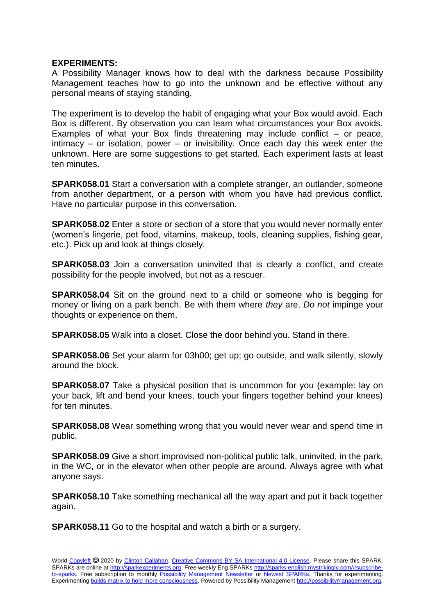## **EXPERIMENTS:**

A Possibility Manager knows how to deal with the darkness because Possibility Management teaches how to go into the unknown and be effective without any personal means of staying standing.

The experiment is to develop the habit of engaging what your Box would avoid. Each Box is different. By observation you can learn what circumstances your Box avoids. Examples of what your Box finds threatening may include conflict – or peace, intimacy – or isolation, power – or invisibility. Once each day this week enter the unknown. Here are some suggestions to get started. Each experiment lasts at least ten minutes.

**SPARK058.01** Start a conversation with a complete stranger, an outlander, someone from another department, or a person with whom you have had previous conflict. Have no particular purpose in this conversation.

**SPARK058.02** Enter a store or section of a store that you would never normally enter (women's lingerie, pet food, vitamins, makeup, tools, cleaning supplies, fishing gear, etc.). Pick up and look at things closely.

**SPARK058.03** Join a conversation uninvited that is clearly a conflict, and create possibility for the people involved, but not as a rescuer.

**SPARK058.04** Sit on the ground next to a child or someone who is begging for money or living on a park bench. Be with them where *they* are. *Do not* impinge your thoughts or experience on them.

**SPARK058.05** Walk into a closet. Close the door behind you. Stand in there.

**SPARK058.06** Set your alarm for 03h00; get up; go outside, and walk silently, slowly around the block.

**SPARK058.07** Take a physical position that is uncommon for you (example: lay on your back, lift and bend your knees, touch your fingers together behind your knees) for ten minutes.

**SPARK058.08** Wear something wrong that you would never wear and spend time in public.

**SPARK058.09** Give a short improvised non-political public talk, uninvited, in the park, in the WC, or in the elevator when other people are around. Always agree with what anyone says.

**SPARK058.10** Take something mechanical all the way apart and put it back together again.

**SPARK058.11** Go to the hospital and watch a birth or a surgery.